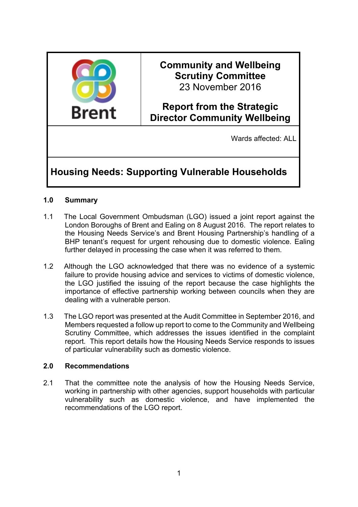

## **Community and Wellbeing Scrutiny Committee** 23 November 2016

## **Report from the Strategic Director Community Wellbeing**

Wards affected: ALL

# **Housing Needs: Supporting Vulnerable Households**

## **1.0 Summary**

- 1.1 The Local Government Ombudsman (LGO) issued a joint report against the London Boroughs of Brent and Ealing on 8 August 2016. The report relates to the Housing Needs Service's and Brent Housing Partnership's handling of a BHP tenant's request for urgent rehousing due to domestic violence. Ealing further delayed in processing the case when it was referred to them.
- 1.2 Although the LGO acknowledged that there was no evidence of a systemic failure to provide housing advice and services to victims of domestic violence, the LGO justified the issuing of the report because the case highlights the importance of effective partnership working between councils when they are dealing with a vulnerable person.
- 1.3 The LGO report was presented at the Audit Committee in September 2016, and Members requested a follow up report to come to the Community and Wellbeing Scrutiny Committee, which addresses the issues identified in the complaint report. This report details how the Housing Needs Service responds to issues of particular vulnerability such as domestic violence.

#### **2.0 Recommendations**

2.1 That the committee note the analysis of how the Housing Needs Service, working in partnership with other agencies, support households with particular vulnerability such as domestic violence, and have implemented the recommendations of the LGO report.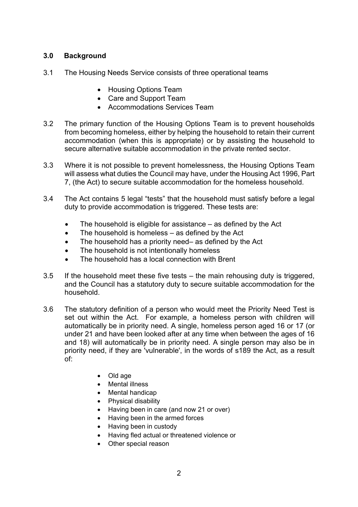## **3.0 Background**

- 3.1 The Housing Needs Service consists of three operational teams
	- Housing Options Team
	- Care and Support Team
	- Accommodations Services Team
- 3.2 The primary function of the Housing Options Team is to prevent households from becoming homeless, either by helping the household to retain their current accommodation (when this is appropriate) or by assisting the household to secure alternative suitable accommodation in the private rented sector.
- 3.3 Where it is not possible to prevent homelessness, the Housing Options Team will assess what duties the Council may have, under the Housing Act 1996, Part 7, (the Act) to secure suitable accommodation for the homeless household.
- 3.4 The Act contains 5 legal "tests" that the household must satisfy before a legal duty to provide accommodation is triggered. These tests are:
	- The household is eligible for assistance as defined by the Act
	- The household is homeless as defined by the Act
	- The household has a priority need– as defined by the Act
	- The household is not intentionally homeless
	- The household has a local connection with Brent
- 3.5 If the household meet these five tests the main rehousing duty is triggered, and the Council has a statutory duty to secure suitable accommodation for the household.
- 3.6 The statutory definition of a person who would meet the Priority Need Test is set out within the Act. For example, a homeless person with children will automatically be in priority need. A single, homeless person aged 16 or 17 (or under 21 and have been looked after at any time when between the ages of 16 and 18) will automatically be in priority need. A single person may also be in priority need, if they are 'vulnerable', in the words of s189 the Act, as a result of:
	- Old age
	- Mental illness
	- Mental handicap
	- Physical disability
	- Having been in care (and now 21 or over)
	- Having been in the armed forces
	- Having been in custody
	- Having fled actual or threatened violence or
	- Other special reason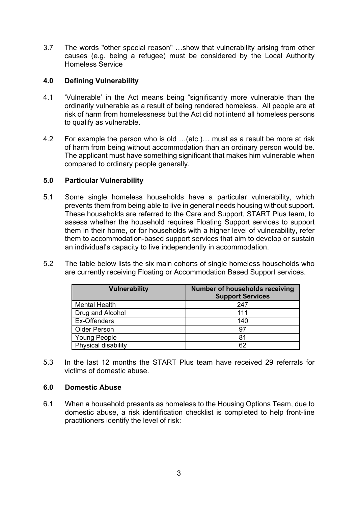3.7 The words "other special reason" …show that vulnerability arising from other causes (e.g. being a refugee) must be considered by the Local Authority Homeless Service

### **4.0 Defining Vulnerability**

- 4.1 'Vulnerable' in the Act means being "significantly more vulnerable than the ordinarily vulnerable as a result of being rendered homeless. All people are at risk of harm from homelessness but the Act did not intend all homeless persons to qualify as vulnerable.
- 4.2 For example the person who is old …(etc.)… must as a result be more at risk of harm from being without accommodation than an ordinary person would be. The applicant must have something significant that makes him vulnerable when compared to ordinary people generally.

#### **5.0 Particular Vulnerability**

- 5.1 Some single homeless households have a particular vulnerability, which prevents them from being able to live in general needs housing without support. These households are referred to the Care and Support, START Plus team, to assess whether the household requires Floating Support services to support them in their home, or for households with a higher level of vulnerability, refer them to accommodation-based support services that aim to develop or sustain an individual's capacity to live independently in accommodation.
- 5.2 The table below lists the six main cohorts of single homeless households who are currently receiving Floating or Accommodation Based Support services.

| <b>Vulnerability</b> | Number of households receiving<br><b>Support Services</b> |
|----------------------|-----------------------------------------------------------|
| <b>Mental Health</b> | 247                                                       |
| Drug and Alcohol     | 111                                                       |
| Ex-Offenders         | 140                                                       |
| <b>Older Person</b>  | 97                                                        |
| <b>Young People</b>  | 81                                                        |
| Physical disability  | 62                                                        |

5.3 In the last 12 months the START Plus team have received 29 referrals for victims of domestic abuse.

#### **6.0 Domestic Abuse**

6.1 When a household presents as homeless to the Housing Options Team, due to domestic abuse, a risk identification checklist is completed to help front-line practitioners identify the level of risk: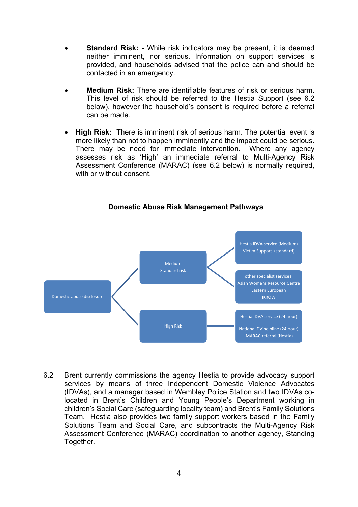- **Standard Risk: -** While risk indicators may be present, it is deemed neither imminent, nor serious. Information on support services is provided, and households advised that the police can and should be contacted in an emergency.
- **Medium Risk:** There are identifiable features of risk or serious harm. This level of risk should be referred to the Hestia Support (see 6.2 below), however the household's consent is required before a referral can be made.
- **High Risk:** There is imminent risk of serious harm. The potential event is more likely than not to happen imminently and the impact could be serious. There may be need for immediate intervention. Where any agency assesses risk as 'High' an immediate referral to Multi-Agency Risk Assessment Conference (MARAC) (see 6.2 below) is normally required, with or without consent.



#### **Domestic Abuse Risk Management Pathways**

6.2 Brent currently commissions the agency Hestia to provide advocacy support services by means of three Independent Domestic Violence Advocates (IDVAs), and a manager based in Wembley Police Station and two IDVAs colocated in Brent's Children and Young People's Department working in children's Social Care (safeguarding locality team) and Brent's Family Solutions Team. Hestia also provides two family support workers based in the Family Solutions Team and Social Care, and subcontracts the Multi-Agency Risk Assessment Conference (MARAC) coordination to another agency, Standing Together.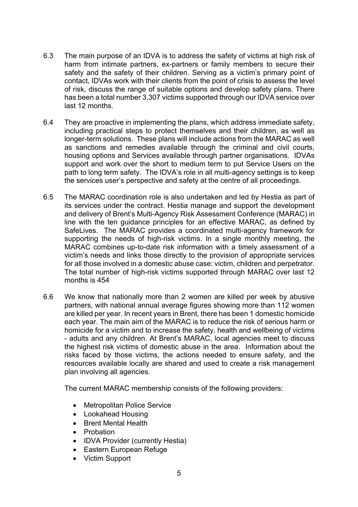- 6.3 The main purpose of an IDVA is to address the safety of victims at high risk of harm from intimate partners, ex-partners or family members to secure their safety and the safety of their children. Serving as a victim's primary point of contact, IDVAs work with their clients from the point of crisis to assess the level of risk, discuss the range of suitable options and develop safety plans. There has been a total number 3,307 victims supported through our IDVA service over last 12 months.
- 6.4 They are proactive in implementing the plans, which address immediate safety, including practical steps to protect themselves and their children, as well as longer-term solutions. These plans will include actions from the MARAC as well as sanctions and remedies available through the criminal and civil courts, housing options and Services available through partner organisations. IDVAs support and work over the short to medium term to put Service Users on the path to long term safety. The IDVA's role in all multi-agency settings is to keep the services user's perspective and safety at the centre of all proceedings.
- 6.5 The MARAC coordination role is also undertaken and led by Hestia as part of its services under the contract. Hestia manage and support the development and delivery of Brent's Multi-Agency Risk Assessment Conference (MARAC) in line with the ten guidance principles for an effective MARAC, as defined by SafeLives. The MARAC provides a coordinated multi-agency framework for supporting the needs of high-risk victims. In a single monthly meeting, the MARAC combines up-to-date risk information with a timely assessment of a victim's needs and links those directly to the provision of appropriate services for all those involved in a domestic abuse case: victim, children and perpetrator. The total number of high-risk victims supported through MARAC over last 12 months is 454
- 6.6 We know that nationally more than 2 women are killed per week by abusive partners, with national annual average figures showing more than 112 women are killed per year. In recent years in Brent, there has been 1 domestic homicide each year. The main aim of the MARAC is to reduce the risk of serious harm or homicide for a victim and to increase the safety, health and wellbeing of victims - adults and any children. At Brent's MARAC, local agencies meet to discuss the highest risk victims of domestic abuse in the area. Information about the risks faced by those victims, the actions needed to ensure safety, and the resources available locally are shared and used to create a risk management plan involving all agencies.

The current MARAC membership consists of the following providers:

- Metropolitan Police Service
- Lookahead Housing
- Brent Mental Health
- Probation
- IDVA Provider (currently Hestia)
- Eastern European Refuge
- Victim Support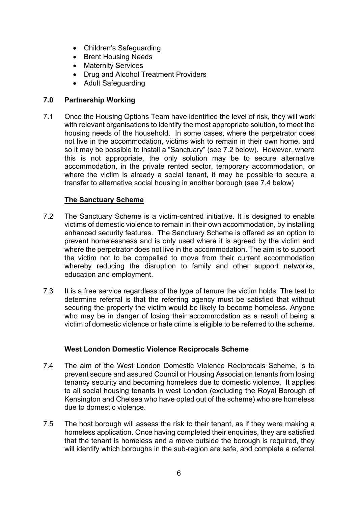- Children's Safeguarding
- Brent Housing Needs
- Maternity Services
- Drug and Alcohol Treatment Providers
- Adult Safeguarding

## **7.0 Partnership Working**

7.1 Once the Housing Options Team have identified the level of risk, they will work with relevant organisations to identify the most appropriate solution, to meet the housing needs of the household. In some cases, where the perpetrator does not live in the accommodation, victims wish to remain in their own home, and so it may be possible to install a "Sanctuary" (see 7.2 below). However, where this is not appropriate, the only solution may be to secure alternative accommodation, in the private rented sector, temporary accommodation, or where the victim is already a social tenant, it may be possible to secure a transfer to alternative social housing in another borough (see 7.4 below)

## **The Sanctuary Scheme**

- 7.2 The Sanctuary Scheme is a victim-centred initiative. It is designed to enable victims of domestic violence to remain in their own accommodation, by installing enhanced security features. The Sanctuary Scheme is offered as an option to prevent homelessness and is only used where it is agreed by the victim and where the perpetrator does not live in the accommodation. The aim is to support the victim not to be compelled to move from their current accommodation whereby reducing the disruption to family and other support networks, education and employment.
- 7.3 It is a free service regardless of the type of tenure the victim holds. The test to determine referral is that the referring agency must be satisfied that without securing the property the victim would be likely to become homeless. Anyone who may be in danger of losing their accommodation as a result of being a victim of domestic violence or hate crime is eligible to be referred to the scheme.

## **West London Domestic Violence Reciprocals Scheme**

- 7.4 The aim of the West London Domestic Violence Reciprocals Scheme, is to prevent secure and assured Council or Housing Association tenants from losing tenancy security and becoming homeless due to domestic violence. It applies to all social housing tenants in west London (excluding the Royal Borough of Kensington and Chelsea who have opted out of the scheme) who are homeless due to domestic violence.
- 7.5 The host borough will assess the risk to their tenant, as if they were making a homeless application. Once having completed their enquiries, they are satisfied that the tenant is homeless and a move outside the borough is required, they will identify which boroughs in the sub-region are safe, and complete a referral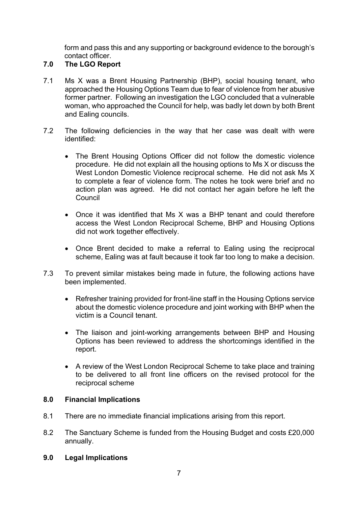form and pass this and any supporting or background evidence to the borough's contact officer.

## **7.0 The LGO Report**

- 7.1 Ms X was a Brent Housing Partnership (BHP), social housing tenant, who approached the Housing Options Team due to fear of violence from her abusive former partner. Following an investigation the LGO concluded that a vulnerable woman, who approached the Council for help, was badly let down by both Brent and Ealing councils.
- 7.2 The following deficiencies in the way that her case was dealt with were identified:
	- The Brent Housing Options Officer did not follow the domestic violence procedure. He did not explain all the housing options to Ms X or discuss the West London Domestic Violence reciprocal scheme. He did not ask Ms X to complete a fear of violence form. The notes he took were brief and no action plan was agreed. He did not contact her again before he left the Council
	- Once it was identified that Ms X was a BHP tenant and could therefore access the West London Reciprocal Scheme, BHP and Housing Options did not work together effectively.
	- Once Brent decided to make a referral to Ealing using the reciprocal scheme, Ealing was at fault because it took far too long to make a decision.
- 7.3 To prevent similar mistakes being made in future, the following actions have been implemented.
	- Refresher training provided for front-line staff in the Housing Options service about the domestic violence procedure and joint working with BHP when the victim is a Council tenant.
	- The liaison and joint-working arrangements between BHP and Housing Options has been reviewed to address the shortcomings identified in the report.
	- A review of the West London Reciprocal Scheme to take place and training to be delivered to all front line officers on the revised protocol for the reciprocal scheme

## **8.0 Financial Implications**

- 8.1 There are no immediate financial implications arising from this report.
- 8.2 The Sanctuary Scheme is funded from the Housing Budget and costs £20,000 annually.
- **9.0 Legal Implications**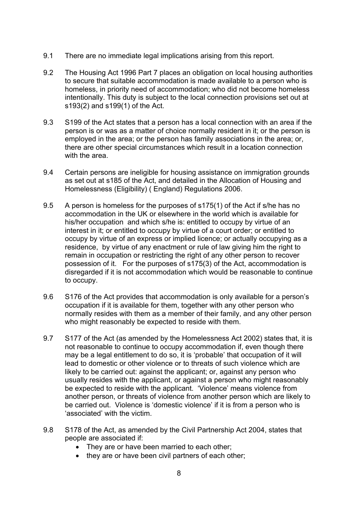- 9.1 There are no immediate legal implications arising from this report.
- 9.2 The Housing Act 1996 Part 7 places an obligation on local housing authorities to secure that suitable accommodation is made available to a person who is homeless, in priority need of accommodation; who did not become homeless intentionally. This duty is subject to the local connection provisions set out at s193(2) and s199(1) of the Act.
- 9.3 S199 of the Act states that a person has a local connection with an area if the person is or was as a matter of choice normally resident in it; or the person is employed in the area; or the person has family associations in the area; or, there are other special circumstances which result in a location connection with the area.
- 9.4 Certain persons are ineligible for housing assistance on immigration grounds as set out at s185 of the Act, and detailed in the Allocation of Housing and Homelessness (Eligibility) ( England) Regulations 2006.
- 9.5 A person is homeless for the purposes of s175(1) of the Act if s/he has no accommodation in the UK or elsewhere in the world which is available for his/her occupation and which s/he is: entitled to occupy by virtue of an interest in it; or entitled to occupy by virtue of a court order; or entitled to occupy by virtue of an express or implied licence; or actually occupying as a residence, by virtue of any enactment or rule of law giving him the right to remain in occupation or restricting the right of any other person to recover possession of it. For the purposes of s175(3) of the Act, accommodation is disregarded if it is not accommodation which would be reasonable to continue to occupy.
- 9.6 S176 of the Act provides that accommodation is only available for a person's occupation if it is available for them, together with any other person who normally resides with them as a member of their family, and any other person who might reasonably be expected to reside with them.
- 9.7 S177 of the Act (as amended by the Homelessness Act 2002) states that, it is not reasonable to continue to occupy accommodation if, even though there may be a legal entitlement to do so, it is 'probable' that occupation of it will lead to domestic or other violence or to threats of such violence which are likely to be carried out: against the applicant; or, against any person who usually resides with the applicant, or against a person who might reasonably be expected to reside with the applicant. 'Violence' means violence from another person, or threats of violence from another person which are likely to be carried out. Violence is 'domestic violence' if it is from a person who is 'associated' with the victim.
- 9.8 S178 of the Act, as amended by the Civil Partnership Act 2004, states that people are associated if:
	- They are or have been married to each other;
	- they are or have been civil partners of each other;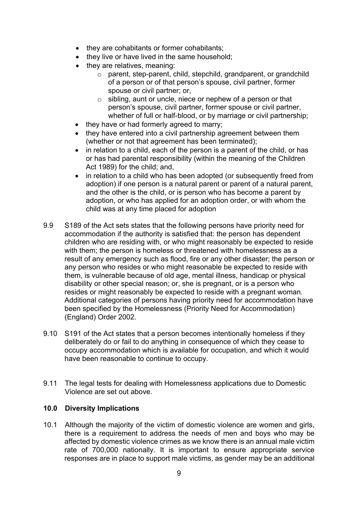- they are cohabitants or former cohabitants;
- they live or have lived in the same household;
- they are relatives, meaning:
	- o parent, step-parent, child, stepchild, grandparent, or grandchild of a person or of that person's spouse, civil partner, former spouse or civil partner; or,
	- $\circ$  sibling, aunt or uncle, niece or nephew of a person or that person's spouse, civil partner, former spouse or civil partner, whether of full or half-blood, or by marriage or civil partnership;
- they have or had formerly agreed to marry;
- they have entered into a civil partnership agreement between them (whether or not that agreement has been terminated);
- in relation to a child, each of the person is a parent of the child, or has or has had parental responsibility (within the meaning of the Children Act 1989) for the child; and,
- in relation to a child who has been adopted (or subsequently freed from adoption) if one person is a natural parent or parent of a natural parent, and the other is the child, or is person who has become a parent by adoption, or who has applied for an adoption order, or with whom the child was at any time placed for adoption
- 9.9 S189 of the Act sets states that the following persons have priority need for accommodation if the authority is satisfied that: the person has dependent children who are residing with, or who might reasonably be expected to reside with them; the person is homeless or threatened with homelessness as a result of any emergency such as flood, fire or any other disaster; the person or any person who resides or who might reasonable be expected to reside with them, is vulnerable because of old age, mental illness, handicap or physical disability or other special reason; or, she is pregnant, or is a person who resides or might reasonably be expected to reside with a pregnant woman. Additional categories of persons having priority need for accommodation have been specified by the Homelessness (Priority Need for Accommodation) (England) Order 2002.
- 9.10 S191 of the Act states that a person becomes intentionally homeless if they deliberately do or fail to do anything in consequence of which they cease to occupy accommodation which is available for occupation, and which it would have been reasonable to continue to occupy.
- 9.11 The legal tests for dealing with Homelessness applications due to Domestic Violence are set out above.

## **10.0 Diversity Implications**

10.1 Although the majority of the victim of domestic violence are women and girls, there is a requirement to address the needs of men and boys who may be affected by domestic violence crimes as we know there is an annual male victim rate of 700,000 nationally. It is important to ensure appropriate service responses are in place to support male victims, as gender may be an additional